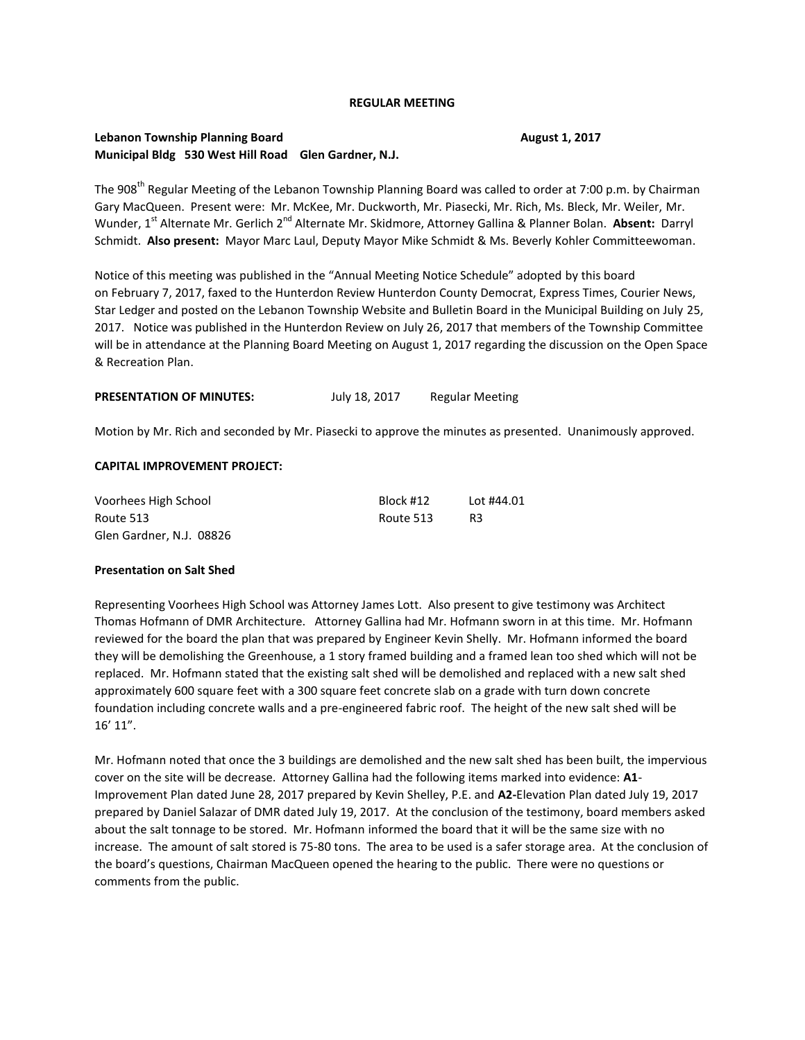#### **REGULAR MEETING**

## **Lebanon Township Planning Board August 1, 2017 August 1, 2017 Municipal Bldg 530 West Hill Road Glen Gardner, N.J.**

The 908<sup>th</sup> Regular Meeting of the Lebanon Township Planning Board was called to order at 7:00 p.m. by Chairman Gary MacQueen. Present were: Mr. McKee, Mr. Duckworth, Mr. Piasecki, Mr. Rich, Ms. Bleck, Mr. Weiler, Mr. Wunder, 1<sup>st</sup> Alternate Mr. Gerlich 2<sup>nd</sup> Alternate Mr. Skidmore, Attorney Gallina & Planner Bolan. **Absent:** Darryl Schmidt. **Also present:** Mayor Marc Laul, Deputy Mayor Mike Schmidt & Ms. Beverly Kohler Committeewoman.

Notice of this meeting was published in the "Annual Meeting Notice Schedule" adopted by this board on February 7, 2017, faxed to the Hunterdon Review Hunterdon County Democrat, Express Times, Courier News, Star Ledger and posted on the Lebanon Township Website and Bulletin Board in the Municipal Building on July 25, 2017. Notice was published in the Hunterdon Review on July 26, 2017 that members of the Township Committee will be in attendance at the Planning Board Meeting on August 1, 2017 regarding the discussion on the Open Space & Recreation Plan.

| <b>PRESENTATION OF MINUTES:</b> | July 18, 2017 | <b>Regular Meeting</b> |
|---------------------------------|---------------|------------------------|
|---------------------------------|---------------|------------------------|

Motion by Mr. Rich and seconded by Mr. Piasecki to approve the minutes as presented. Unanimously approved.

#### **CAPITAL IMPROVEMENT PROJECT:**

| Voorhees High School     | Block #12 | Lot #44.01 |
|--------------------------|-----------|------------|
| Route 513                | Route 513 | R3         |
| Glen Gardner, N.J. 08826 |           |            |

### **Presentation on Salt Shed**

Representing Voorhees High School was Attorney James Lott. Also present to give testimony was Architect Thomas Hofmann of DMR Architecture. Attorney Gallina had Mr. Hofmann sworn in at this time. Mr. Hofmann reviewed for the board the plan that was prepared by Engineer Kevin Shelly. Mr. Hofmann informed the board they will be demolishing the Greenhouse, a 1 story framed building and a framed lean too shed which will not be replaced. Mr. Hofmann stated that the existing salt shed will be demolished and replaced with a new salt shed approximately 600 square feet with a 300 square feet concrete slab on a grade with turn down concrete foundation including concrete walls and a pre-engineered fabric roof. The height of the new salt shed will be 16' 11".

Mr. Hofmann noted that once the 3 buildings are demolished and the new salt shed has been built, the impervious cover on the site will be decrease. Attorney Gallina had the following items marked into evidence: **A1**- Improvement Plan dated June 28, 2017 prepared by Kevin Shelley, P.E. and **A2-**Elevation Plan dated July 19, 2017 prepared by Daniel Salazar of DMR dated July 19, 2017. At the conclusion of the testimony, board members asked about the salt tonnage to be stored. Mr. Hofmann informed the board that it will be the same size with no increase. The amount of salt stored is 75-80 tons. The area to be used is a safer storage area. At the conclusion of the board's questions, Chairman MacQueen opened the hearing to the public. There were no questions or comments from the public.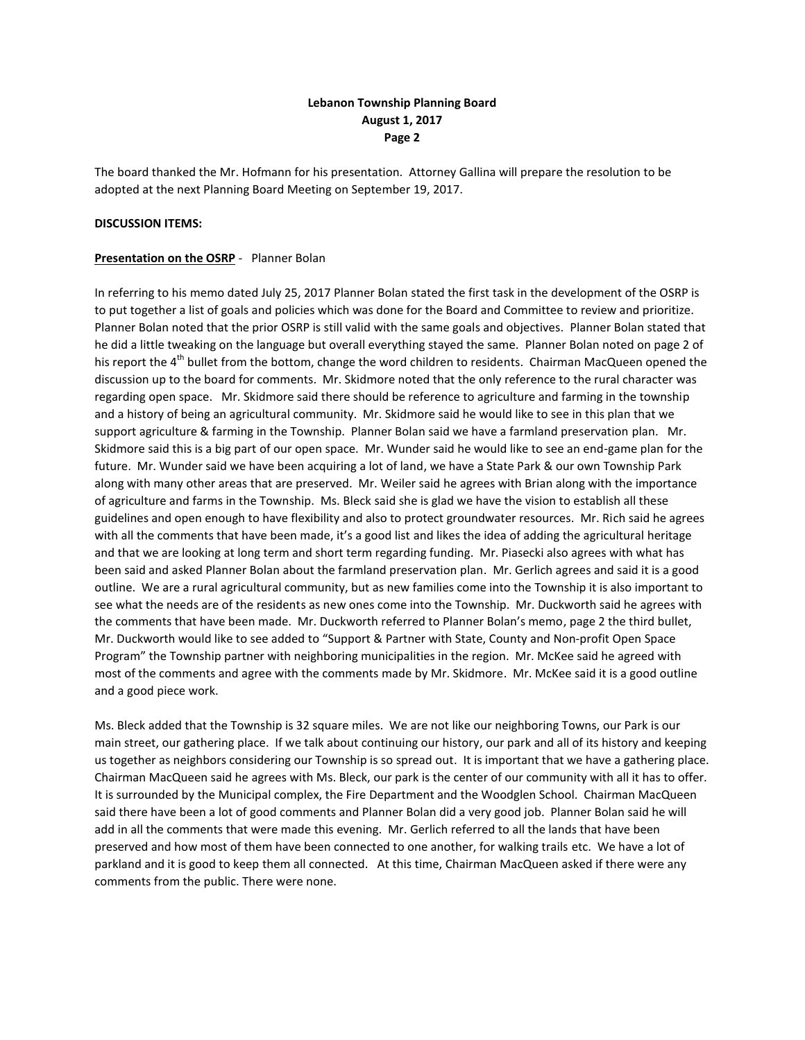## **Lebanon Township Planning Board August 1, 2017 Page 2**

The board thanked the Mr. Hofmann for his presentation. Attorney Gallina will prepare the resolution to be adopted at the next Planning Board Meeting on September 19, 2017.

#### **DISCUSSION ITEMS:**

#### **Presentation on the OSRP** - Planner Bolan

In referring to his memo dated July 25, 2017 Planner Bolan stated the first task in the development of the OSRP is to put together a list of goals and policies which was done for the Board and Committee to review and prioritize. Planner Bolan noted that the prior OSRP is still valid with the same goals and objectives. Planner Bolan stated that he did a little tweaking on the language but overall everything stayed the same. Planner Bolan noted on page 2 of his report the 4<sup>th</sup> bullet from the bottom, change the word children to residents. Chairman MacQueen opened the discussion up to the board for comments. Mr. Skidmore noted that the only reference to the rural character was regarding open space. Mr. Skidmore said there should be reference to agriculture and farming in the township and a history of being an agricultural community. Mr. Skidmore said he would like to see in this plan that we support agriculture & farming in the Township. Planner Bolan said we have a farmland preservation plan. Mr. Skidmore said this is a big part of our open space. Mr. Wunder said he would like to see an end-game plan for the future. Mr. Wunder said we have been acquiring a lot of land, we have a State Park & our own Township Park along with many other areas that are preserved. Mr. Weiler said he agrees with Brian along with the importance of agriculture and farms in the Township. Ms. Bleck said she is glad we have the vision to establish all these guidelines and open enough to have flexibility and also to protect groundwater resources. Mr. Rich said he agrees with all the comments that have been made, it's a good list and likes the idea of adding the agricultural heritage and that we are looking at long term and short term regarding funding. Mr. Piasecki also agrees with what has been said and asked Planner Bolan about the farmland preservation plan. Mr. Gerlich agrees and said it is a good outline. We are a rural agricultural community, but as new families come into the Township it is also important to see what the needs are of the residents as new ones come into the Township. Mr. Duckworth said he agrees with the comments that have been made. Mr. Duckworth referred to Planner Bolan's memo, page 2 the third bullet, Mr. Duckworth would like to see added to "Support & Partner with State, County and Non-profit Open Space Program" the Township partner with neighboring municipalities in the region. Mr. McKee said he agreed with most of the comments and agree with the comments made by Mr. Skidmore. Mr. McKee said it is a good outline and a good piece work.

Ms. Bleck added that the Township is 32 square miles. We are not like our neighboring Towns, our Park is our main street, our gathering place. If we talk about continuing our history, our park and all of its history and keeping us together as neighbors considering our Township is so spread out. It is important that we have a gathering place. Chairman MacQueen said he agrees with Ms. Bleck, our park is the center of our community with all it has to offer. It is surrounded by the Municipal complex, the Fire Department and the Woodglen School. Chairman MacQueen said there have been a lot of good comments and Planner Bolan did a very good job. Planner Bolan said he will add in all the comments that were made this evening. Mr. Gerlich referred to all the lands that have been preserved and how most of them have been connected to one another, for walking trails etc. We have a lot of parkland and it is good to keep them all connected. At this time, Chairman MacQueen asked if there were any comments from the public. There were none.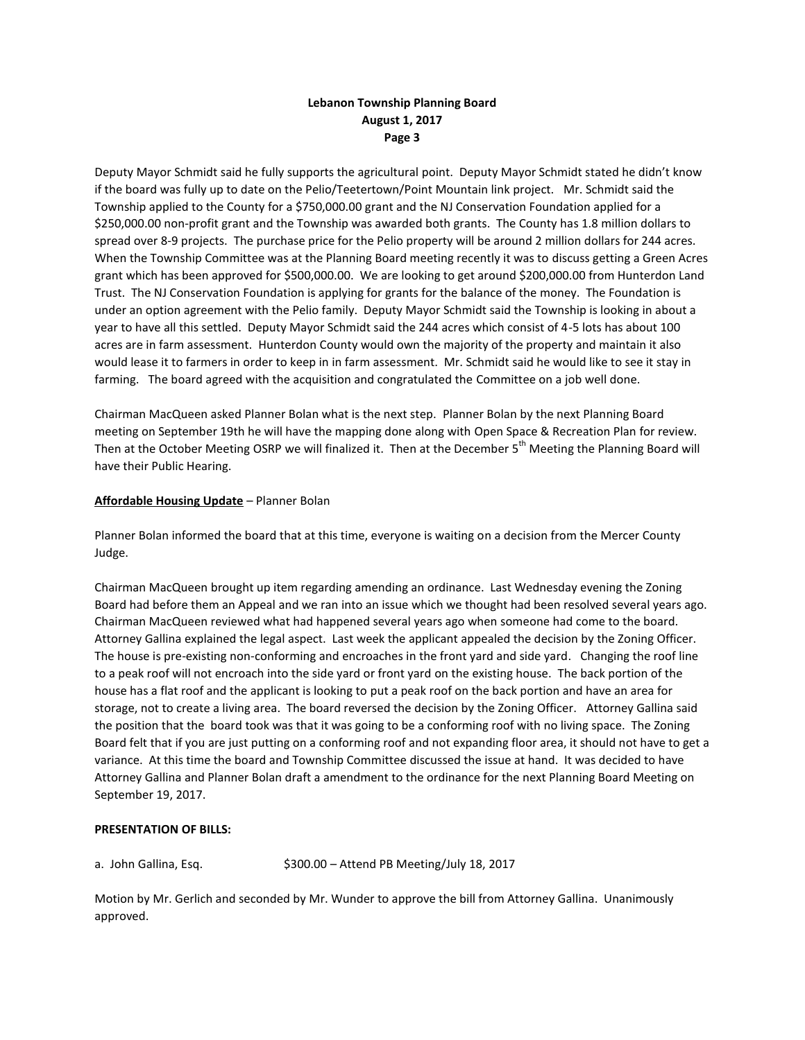# **Lebanon Township Planning Board August 1, 2017 Page 3**

Deputy Mayor Schmidt said he fully supports the agricultural point. Deputy Mayor Schmidt stated he didn't know if the board was fully up to date on the Pelio/Teetertown/Point Mountain link project. Mr. Schmidt said the Township applied to the County for a \$750,000.00 grant and the NJ Conservation Foundation applied for a \$250,000.00 non-profit grant and the Township was awarded both grants. The County has 1.8 million dollars to spread over 8-9 projects. The purchase price for the Pelio property will be around 2 million dollars for 244 acres. When the Township Committee was at the Planning Board meeting recently it was to discuss getting a Green Acres grant which has been approved for \$500,000.00. We are looking to get around \$200,000.00 from Hunterdon Land Trust. The NJ Conservation Foundation is applying for grants for the balance of the money. The Foundation is under an option agreement with the Pelio family. Deputy Mayor Schmidt said the Township is looking in about a year to have all this settled. Deputy Mayor Schmidt said the 244 acres which consist of 4-5 lots has about 100 acres are in farm assessment. Hunterdon County would own the majority of the property and maintain it also would lease it to farmers in order to keep in in farm assessment. Mr. Schmidt said he would like to see it stay in farming. The board agreed with the acquisition and congratulated the Committee on a job well done.

Chairman MacQueen asked Planner Bolan what is the next step. Planner Bolan by the next Planning Board meeting on September 19th he will have the mapping done along with Open Space & Recreation Plan for review. Then at the October Meeting OSRP we will finalized it. Then at the December 5<sup>th</sup> Meeting the Planning Board will have their Public Hearing.

### **Affordable Housing Update** – Planner Bolan

Planner Bolan informed the board that at this time, everyone is waiting on a decision from the Mercer County Judge.

Chairman MacQueen brought up item regarding amending an ordinance. Last Wednesday evening the Zoning Board had before them an Appeal and we ran into an issue which we thought had been resolved several years ago. Chairman MacQueen reviewed what had happened several years ago when someone had come to the board. Attorney Gallina explained the legal aspect. Last week the applicant appealed the decision by the Zoning Officer. The house is pre-existing non-conforming and encroaches in the front yard and side yard. Changing the roof line to a peak roof will not encroach into the side yard or front yard on the existing house. The back portion of the house has a flat roof and the applicant is looking to put a peak roof on the back portion and have an area for storage, not to create a living area. The board reversed the decision by the Zoning Officer. Attorney Gallina said the position that the board took was that it was going to be a conforming roof with no living space. The Zoning Board felt that if you are just putting on a conforming roof and not expanding floor area, it should not have to get a variance. At this time the board and Township Committee discussed the issue at hand. It was decided to have Attorney Gallina and Planner Bolan draft a amendment to the ordinance for the next Planning Board Meeting on September 19, 2017.

### **PRESENTATION OF BILLS:**

a. John Gallina, Esq.  $$300.00 -$  Attend PB Meeting/July 18, 2017

Motion by Mr. Gerlich and seconded by Mr. Wunder to approve the bill from Attorney Gallina. Unanimously approved.